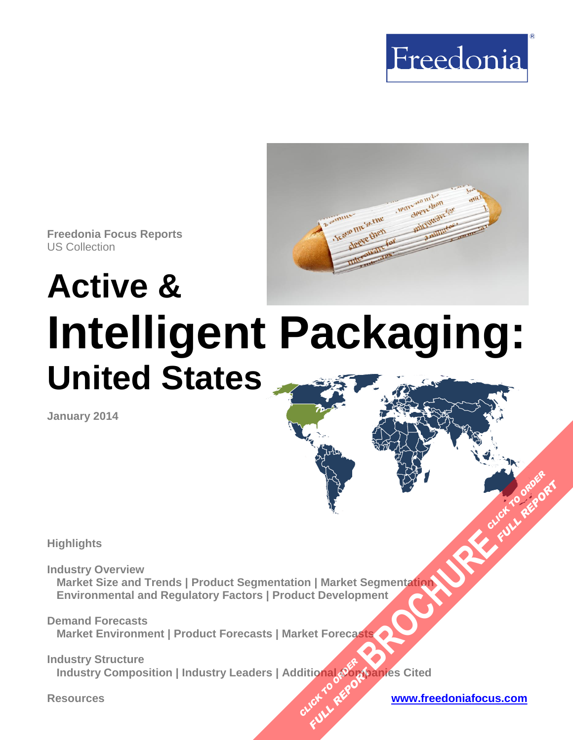



**Freedonia Focus Reports** US Collection

# **Active & Intelligent Packaging: United States**

**January 2014**

**Highlights** 

**Industry Overview Market Size and Trends | Product Segmentation | Market Segmentation Environmental and Regulatory Factors | Product Development BROWNER AND CLICK TO ORDER**<br>Begmentation

**Demand Forecasts Market Environment | Product Forecasts | Market Forecasts** 

**Industry Structure lindustry Composition | Industry Leaders | Additional ပုံတွေ့စုံanies Cited CLICK TO AREFORM FULL REPORT** 

**FULL REPORT**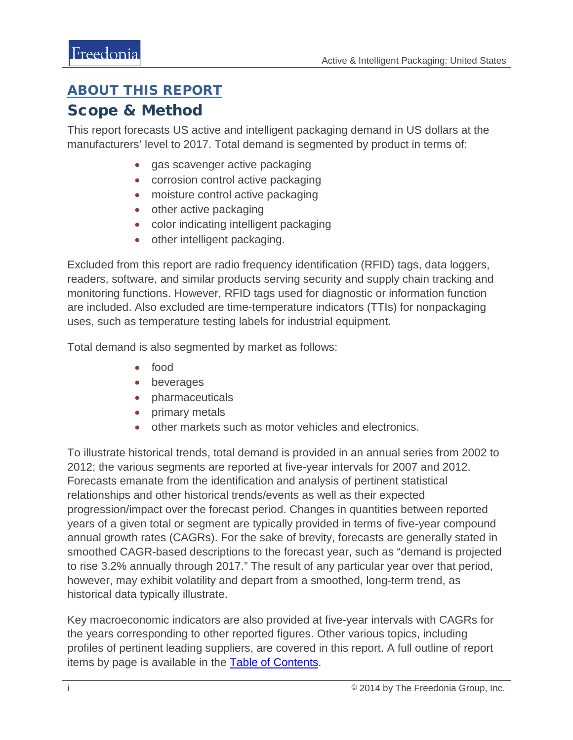#### <span id="page-1-0"></span>ABOUT THIS REPORT

#### Scope & Method

This report forecasts US active and intelligent packaging demand in US dollars at the manufacturers' level to 2017. Total demand is segmented by product in terms of:

- gas scavenger active packaging
- corrosion control active packaging
- moisture control active packaging
- other active packaging
- color indicating intelligent packaging
- other intelligent packaging.

Excluded from this report are radio frequency identification (RFID) tags, data loggers, readers, software, and similar products serving security and supply chain tracking and monitoring functions. However, RFID tags used for diagnostic or information function are included. Also excluded are time-temperature indicators (TTIs) for nonpackaging uses, such as temperature testing labels for industrial equipment.

Total demand is also segmented by market as follows:

- food
- beverages
- pharmaceuticals
- primary metals
- other markets such as motor vehicles and electronics.

To illustrate historical trends, total demand is provided in an annual series from 2002 to 2012; the various segments are reported at five-year intervals for 2007 and 2012. Forecasts emanate from the identification and analysis of pertinent statistical relationships and other historical trends/events as well as their expected progression/impact over the forecast period. Changes in quantities between reported years of a given total or segment are typically provided in terms of five-year compound annual growth rates (CAGRs). For the sake of brevity, forecasts are generally stated in smoothed CAGR-based descriptions to the forecast year, such as "demand is projected to rise 3.2% annually through 2017." The result of any particular year over that period, however, may exhibit volatility and depart from a smoothed, long-term trend, as historical data typically illustrate.

Key macroeconomic indicators are also provided at five-year intervals with CAGRs for the years corresponding to other reported figures. Other various topics, including profiles of pertinent leading suppliers, are covered in this report. A full outline of report items by page is available in the **Table of Contents**.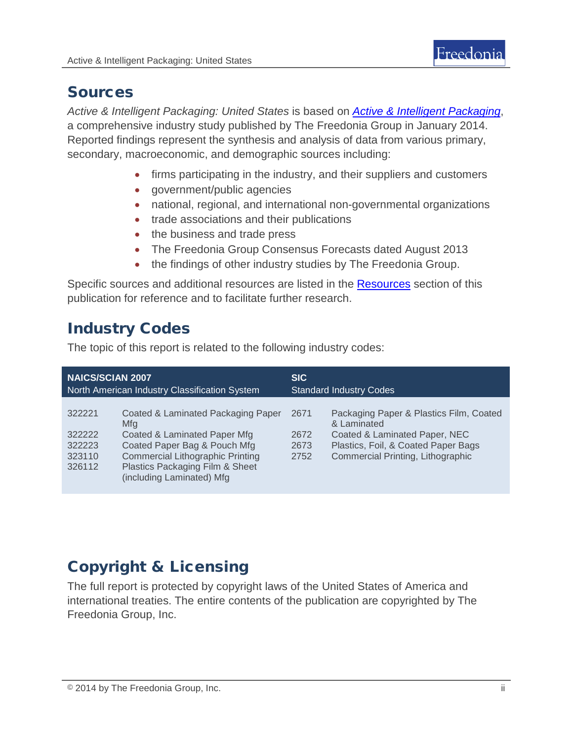### Sources

*Active & Intelligent Packaging: United States* is based on *[Active & Intelligent Packaging](http://www.freedoniagroup.com/DocumentDetails.aspx?ReferrerId=FL-FOCUS&studyid=3117)*, a comprehensive industry study published by The Freedonia Group in January 2014. Reported findings represent the synthesis and analysis of data from various primary, secondary, macroeconomic, and demographic sources including:

- firms participating in the industry, and their suppliers and customers
- government/public agencies
- national, regional, and international non-governmental organizations
- trade associations and their publications
- the business and trade press
- The Freedonia Group Consensus Forecasts dated August 2013
- the findings of other industry studies by The Freedonia Group.

Specific sources and additional resources are listed in the Resources section of this publication for reference and to facilitate further research.

## Industry Codes

The topic of this report is related to the following industry codes:

| <b>NAICS/SCIAN 2007</b>                        |                                                                                                                                                                                                                      | <b>SIC</b>                     |                                                                                                                                                                     |
|------------------------------------------------|----------------------------------------------------------------------------------------------------------------------------------------------------------------------------------------------------------------------|--------------------------------|---------------------------------------------------------------------------------------------------------------------------------------------------------------------|
| North American Industry Classification System  |                                                                                                                                                                                                                      | <b>Standard Industry Codes</b> |                                                                                                                                                                     |
| 322221<br>322222<br>322223<br>323110<br>326112 | Coated & Laminated Packaging Paper<br>Mfa<br>Coated & Laminated Paper Mfg<br>Coated Paper Bag & Pouch Mfg<br><b>Commercial Lithographic Printing</b><br>Plastics Packaging Film & Sheet<br>(including Laminated) Mfg | 2671<br>2672<br>2673<br>2752   | Packaging Paper & Plastics Film, Coated<br>& Laminated<br>Coated & Laminated Paper, NEC<br>Plastics, Foil, & Coated Paper Bags<br>Commercial Printing, Lithographic |

## Copyright & Licensing

The full report is protected by copyright laws of the United States of America and international treaties. The entire contents of the publication are copyrighted by The Freedonia Group, Inc.